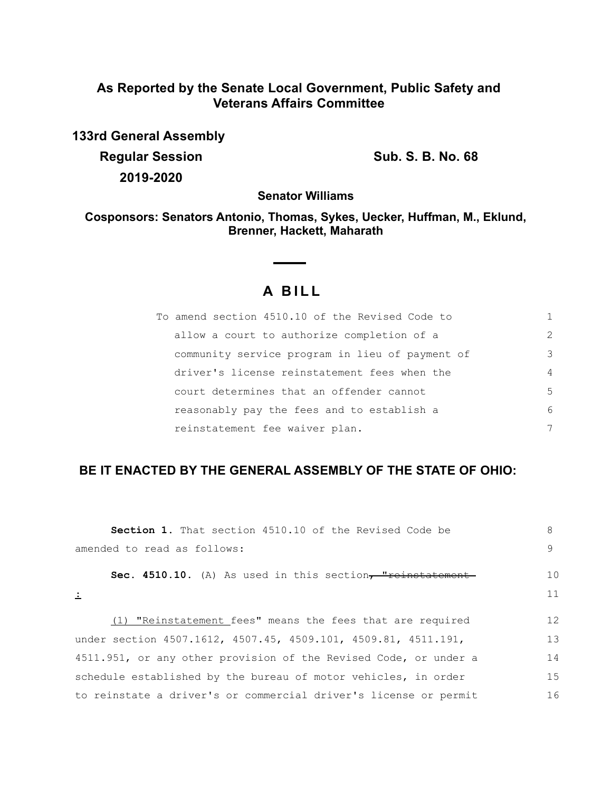## **As Reported by the Senate Local Government, Public Safety and Veterans Affairs Committee**

**133rd General Assembly Regular Session Sub. S. B. No. 68 2019-2020**

**Senator Williams**

**Cosponsors: Senators Antonio, Thomas, Sykes, Uecker, Huffman, M., Eklund, Brenner, Hackett, Maharath**

# **A B I L L**

 $\sim$  $\overline{\phantom{a}}$ 

| To amend section 4510.10 of the Revised Code to |                |
|-------------------------------------------------|----------------|
| allow a court to authorize completion of a      | $\mathcal{L}$  |
| community service program in lieu of payment of | 3              |
| driver's license reinstatement fees when the    | $\overline{4}$ |
| court determines that an offender cannot        | 5              |
| reasonably pay the fees and to establish a      | 6              |
| reinstatement fee waiver plan.                  | 7              |

## **BE IT ENACTED BY THE GENERAL ASSEMBLY OF THE STATE OF OHIO:**

| <b>Section 1.</b> That section 4510.10 of the Revised Code be    | 8  |
|------------------------------------------------------------------|----|
| amended to read as follows:                                      | 9  |
| Sec. 4510.10. (A) As used in this section, "reinstatement        | 10 |
| 土                                                                | 11 |
| (1) "Reinstatement fees" means the fees that are required        | 12 |
| under section 4507.1612, 4507.45, 4509.101, 4509.81, 4511.191,   | 13 |
| 4511.951, or any other provision of the Revised Code, or under a | 14 |
| schedule established by the bureau of motor vehicles, in order   | 15 |
| to reinstate a driver's or commercial driver's license or permit | 16 |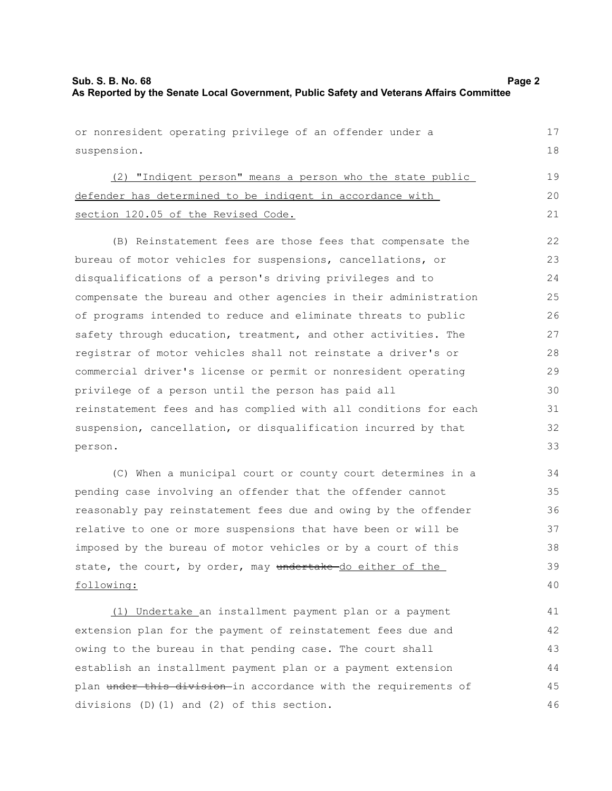| or nonresident operating privilege of an offender under a        |    |
|------------------------------------------------------------------|----|
| suspension.                                                      | 18 |
| (2) "Indigent person" means a person who the state public        | 19 |
| defender has determined to be indigent in accordance with        | 20 |
| section 120.05 of the Revised Code.                              | 21 |
|                                                                  |    |
| (B) Reinstatement fees are those fees that compensate the        | 22 |
| bureau of motor vehicles for suspensions, cancellations, or      | 23 |
| disqualifications of a person's driving privileges and to        | 24 |
| compensate the bureau and other agencies in their administration | 25 |
| of programs intended to reduce and eliminate threats to public   | 26 |
| safety through education, treatment, and other activities. The   | 27 |
| registrar of motor vehicles shall not reinstate a driver's or    | 28 |
| commercial driver's license or permit or nonresident operating   | 29 |
| privilege of a person until the person has paid all              | 30 |
| reinstatement fees and has complied with all conditions for each | 31 |
| suspension, cancellation, or disqualification incurred by that   | 32 |
| person.                                                          | 33 |
| (C) When a municipal court or county court determines in a       | 34 |
| pending case involving an offender that the offender cannot      | 35 |
| reasonably pay reinstatement fees due and owing by the offender  | 36 |
| relative to one or more suspensions that have been or will be    | 37 |
| imposed by the bureau of motor vehicles or by a court of this    | 38 |
| state, the court, by order, may undertake-do either of the       | 39 |
| following:                                                       | 40 |
| (1) Undertake an installment payment plan or a payment           | 41 |
| extension plan for the payment of reinstatement fees due and     | 42 |
| owing to the bureau in that pending case. The court shall        | 43 |
| establish an installment payment plan or a payment extension     | 44 |

plan under this division-in accordance with the requirements of

45 46

divisions (D)(1) and (2) of this section.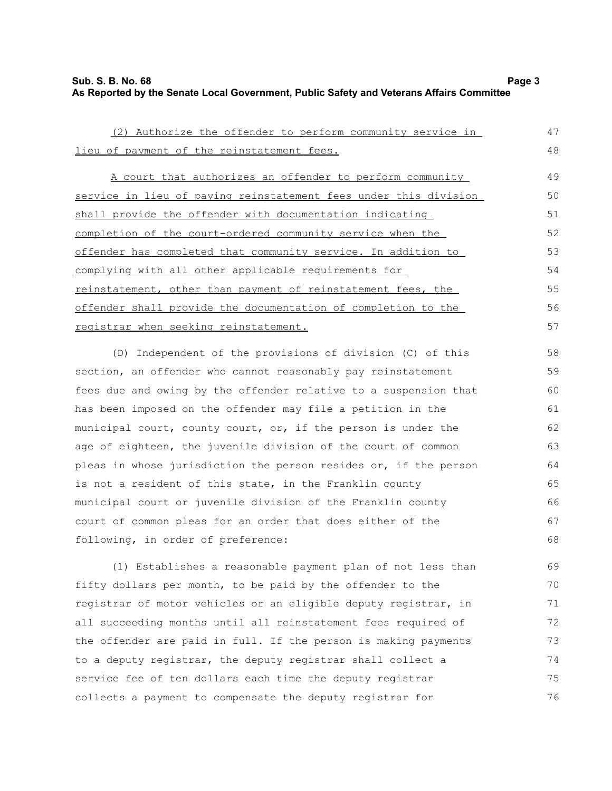#### **Sub. S. B. No. 68 Page 3 As Reported by the Senate Local Government, Public Safety and Veterans Affairs Committee**

| (2) Authorize the offender to perform community service in       | 47 |
|------------------------------------------------------------------|----|
| lieu of payment of the reinstatement fees.                       | 48 |
| A court that authorizes an offender to perform community         | 49 |
| service in lieu of paying reinstatement fees under this division | 50 |
| shall provide the offender with documentation indicating         | 51 |
| completion of the court-ordered community service when the       | 52 |
| offender has completed that community service. In addition to    | 53 |
| complying with all other applicable requirements for             | 54 |
| reinstatement, other than payment of reinstatement fees, the     | 55 |
| offender shall provide the documentation of completion to the    | 56 |
| registrar when seeking reinstatement.                            | 57 |
| (D) Independent of the provisions of division (C) of this        | 58 |
| section, an offender who cannot reasonably pay reinstatement     | 59 |
| fees due and owing by the offender relative to a suspension that | 60 |
| has been imposed on the offender may file a petition in the      | 61 |
| municipal court, county court, or, if the person is under the    | 62 |
| age of eighteen, the juvenile division of the court of common    | 63 |
| pleas in whose jurisdiction the person resides or, if the person | 64 |
| is not a resident of this state, in the Franklin county          | 65 |
| municipal court or juvenile division of the Franklin county      | 66 |
| court of common pleas for an order that does either of the       | 67 |
| following, in order of preference:                               | 68 |
| (1) Establishes a reasonable payment plan of not less than       | 69 |
| fifty dollars per month, to be paid by the offender to the       | 70 |
| registrar of motor vehicles or an eligible deputy registrar, in  | 71 |
| all succeeding months until all reinstatement fees required of   | 72 |
| the offender are paid in full. If the person is making payments  | 73 |
| to a deputy registrar, the deputy registrar shall collect a      | 74 |
| service fee of ten dollars each time the deputy registrar        | 75 |

collects a payment to compensate the deputy registrar for

76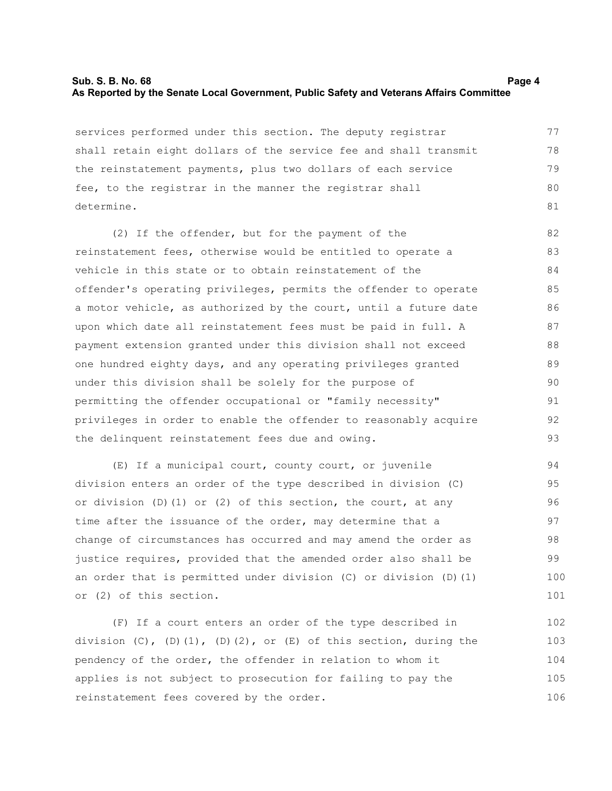#### **Sub. S. B. No. 68 Page 4 As Reported by the Senate Local Government, Public Safety and Veterans Affairs Committee**

services performed under this section. The deputy registrar shall retain eight dollars of the service fee and shall transmit the reinstatement payments, plus two dollars of each service fee, to the registrar in the manner the registrar shall determine. 77 78 79 80 81

(2) If the offender, but for the payment of the reinstatement fees, otherwise would be entitled to operate a vehicle in this state or to obtain reinstatement of the offender's operating privileges, permits the offender to operate a motor vehicle, as authorized by the court, until a future date upon which date all reinstatement fees must be paid in full. A payment extension granted under this division shall not exceed one hundred eighty days, and any operating privileges granted under this division shall be solely for the purpose of permitting the offender occupational or "family necessity" privileges in order to enable the offender to reasonably acquire the delinquent reinstatement fees due and owing. 82 83 84 85 86 87 88 89 90 91 92 93

(E) If a municipal court, county court, or juvenile division enters an order of the type described in division (C) or division  $(D)$   $(1)$  or  $(2)$  of this section, the court, at any time after the issuance of the order, may determine that a change of circumstances has occurred and may amend the order as justice requires, provided that the amended order also shall be an order that is permitted under division (C) or division (D)(1) or (2) of this section. 94 95 96 97 98 99 100 101

(F) If a court enters an order of the type described in division  $(C)$ ,  $(D)$  $(1)$ ,  $(D)$  $(2)$ , or  $(E)$  of this section, during the pendency of the order, the offender in relation to whom it applies is not subject to prosecution for failing to pay the reinstatement fees covered by the order. 102 103 104 105 106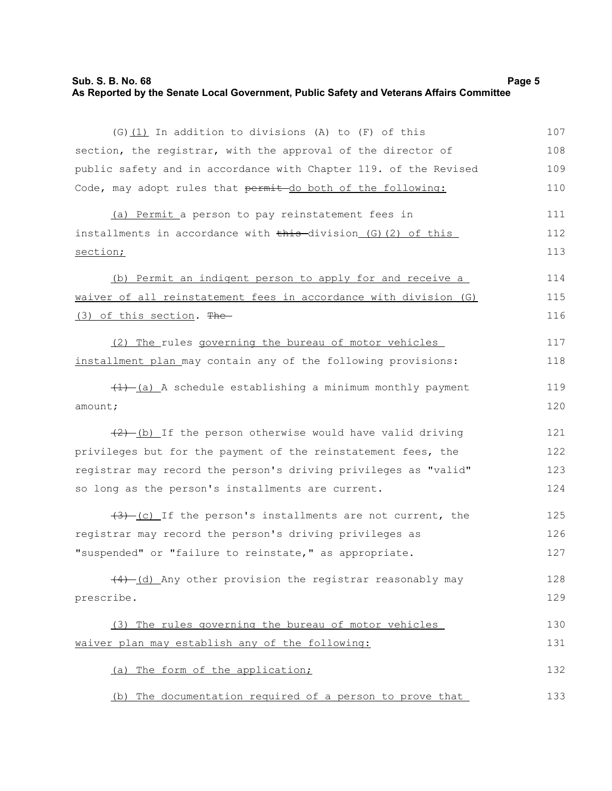### **Sub. S. B. No. 68 Page 5 As Reported by the Senate Local Government, Public Safety and Veterans Affairs Committee**

| $(G)$ (1) In addition to divisions (A) to (F) of this            | 107 |
|------------------------------------------------------------------|-----|
| section, the registrar, with the approval of the director of     | 108 |
| public safety and in accordance with Chapter 119. of the Revised | 109 |
| Code, may adopt rules that permit do both of the following:      | 110 |
| (a) Permit a person to pay reinstatement fees in                 | 111 |
| installments in accordance with this division (G) (2) of this    | 112 |
| section;                                                         | 113 |
| (b) Permit an indigent person to apply for and receive a         | 114 |
| waiver of all reinstatement fees in accordance with division (G) | 115 |
| (3) of this section. The                                         | 116 |
| (2) The rules governing the bureau of motor vehicles             | 117 |
| installment plan may contain any of the following provisions:    | 118 |
| $(1)$ (a) A schedule establishing a minimum monthly payment      | 119 |
| amount;                                                          | 120 |
| $(2)$ -(b) If the person otherwise would have valid driving      | 121 |
| privileges but for the payment of the reinstatement fees, the    | 122 |
| registrar may record the person's driving privileges as "valid"  | 123 |
| so long as the person's installments are current.                | 124 |
| $(3)$ (c) If the person's installments are not current, the      | 125 |
| registrar may record the person's driving privileges as          | 126 |
| "suspended" or "failure to reinstate," as appropriate.           | 127 |
| (4) (d) Any other provision the registrar reasonably may         | 128 |
| prescribe.                                                       | 129 |
| (3) The rules governing the bureau of motor vehicles             | 130 |
| waiver plan may establish any of the following:                  | 131 |
| (a) The form of the application;                                 | 132 |
| (b) The documentation required of a person to prove that         | 133 |